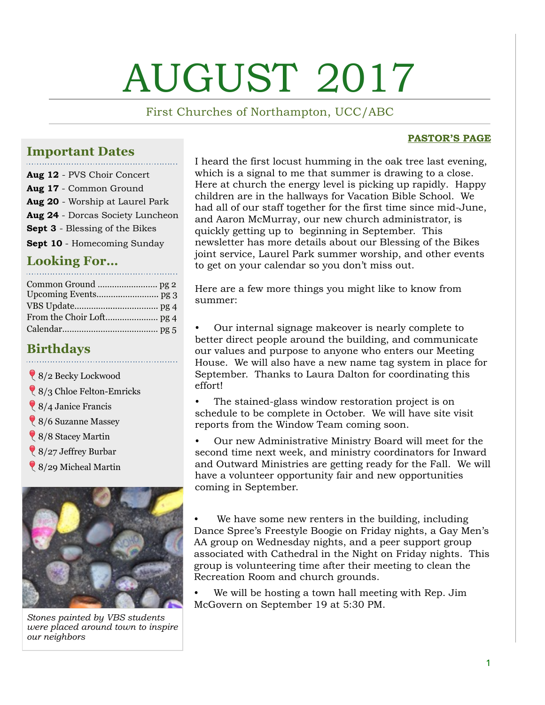# AUGUST 2017

First Churches of Northampton, UCC/ABC

#### **PASTOR'S PAGE**

#### **Important Dates**

**Aug 12** - PVS Choir Concert **Aug 17** - Common Ground **Aug 20** - Worship at Laurel Park **Aug 24** - Dorcas Society Luncheon **Sept 3** - Blessing of the Bikes **Sept 10** - Homecoming Sunday

### **Looking For…**

#### **Birthdays**

- 8/2 Becky Lockwood
- 8/3 Chloe Felton-Emricks
- 8/4 Janice Francis
- 8/6 Suzanne Massey
- 8/8 Stacey Martin
- 8/27 Jeffrey Burbar
- 8/29 Micheal Martin



*Stones painted by VBS students were placed around town to inspire our neighbors*

I heard the first locust humming in the oak tree last evening, which is a signal to me that summer is drawing to a close. Here at church the energy level is picking up rapidly. Happy children are in the hallways for Vacation Bible School. We had all of our staff together for the first time since mid-June, and Aaron McMurray, our new church administrator, is quickly getting up to beginning in September. This newsletter has more details about our Blessing of the Bikes joint service, Laurel Park summer worship, and other events to get on your calendar so you don't miss out.

Here are a few more things you might like to know from summer:

• Our internal signage makeover is nearly complete to better direct people around the building, and communicate our values and purpose to anyone who enters our Meeting House. We will also have a new name tag system in place for September. Thanks to Laura Dalton for coordinating this effort!

The stained-glass window restoration project is on schedule to be complete in October. We will have site visit reports from the Window Team coming soon.

• Our new Administrative Ministry Board will meet for the second time next week, and ministry coordinators for Inward and Outward Ministries are getting ready for the Fall. We will have a volunteer opportunity fair and new opportunities coming in September.

We have some new renters in the building, including Dance Spree's Freestyle Boogie on Friday nights, a Gay Men's AA group on Wednesday nights, and a peer support group associated with Cathedral in the Night on Friday nights. This group is volunteering time after their meeting to clean the Recreation Room and church grounds.

• We will be hosting a town hall meeting with Rep. Jim McGovern on September 19 at 5:30 PM.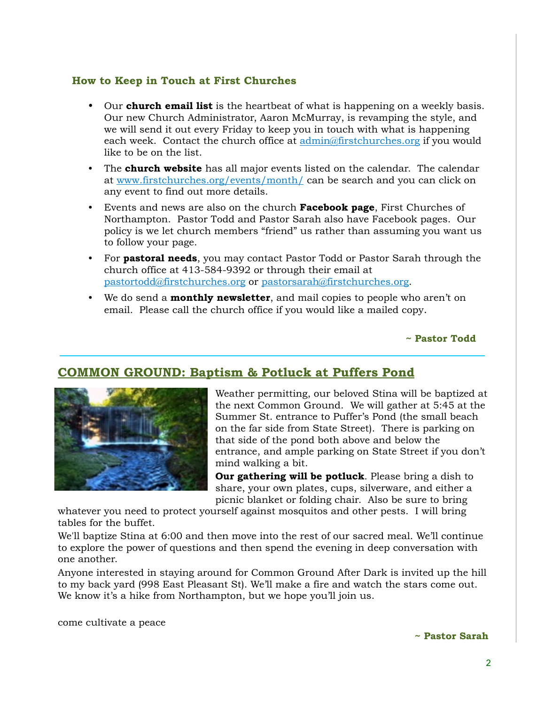#### **How to Keep in Touch at First Churches**

- Our **church email list** is the heartbeat of what is happening on a weekly basis. Our new Church Administrator, Aaron McMurray, is revamping the style, and we will send it out every Friday to keep you in touch with what is happening each week. Contact the church office at [admin@firstchurches.org](mailto:admin@firstchurches.org) if you would like to be on the list.
- The **church website** has all major events listed on the calendar. The calendar at [www.firstchurches.org/events/month/](http://www.firstchurches.org/events/month/) can be search and you can click on any event to find out more details.
- Events and news are also on the church **Facebook page**, First Churches of Northampton. Pastor Todd and Pastor Sarah also have Facebook pages. Our policy is we let church members "friend" us rather than assuming you want us to follow your page.
- For **pastoral needs**, you may contact Pastor Todd or Pastor Sarah through the church office at 413-584-9392 or through their email at [pastortodd@firstchurches.org](mailto:pastortodd@firstchurches.org) or [pastorsarah@firstchurches.org](mailto:pastorsarah@firstchurches.org).
- We do send a **monthly newsletter**, and mail copies to people who aren't on email. Please call the church office if you would like a mailed copy.

**~ Pastor Todd**

#### **COMMON GROUND: Baptism & Potluck at Puffers Pond**



Weather permitting, our beloved Stina will be baptized at the next Common Ground. We will gather at 5:45 at the Summer St. entrance to Puffer's Pond (the small beach on the far side from State Street). There is parking on that side of the pond both above and below the entrance, and ample parking on State Street if you don't mind walking a bit.

**Our gathering will be potluck**. Please bring a dish to share, your own plates, cups, silverware, and either a picnic blanket or folding chair. Also be sure to bring

whatever you need to protect yourself against mosquitos and other pests. I will bring tables for the buffet.

We'll baptize Stina at 6:00 and then move into the rest of our sacred meal. We'll continue to explore the power of questions and then spend the evening in deep conversation with one another.

Anyone interested in staying around for Common Ground After Dark is invited up the hill to my back yard (998 East Pleasant St). We'll make a fire and watch the stars come out. We know it's a hike from Northampton, but we hope you'll join us.

come cultivate a peace

**~ Pastor Sarah**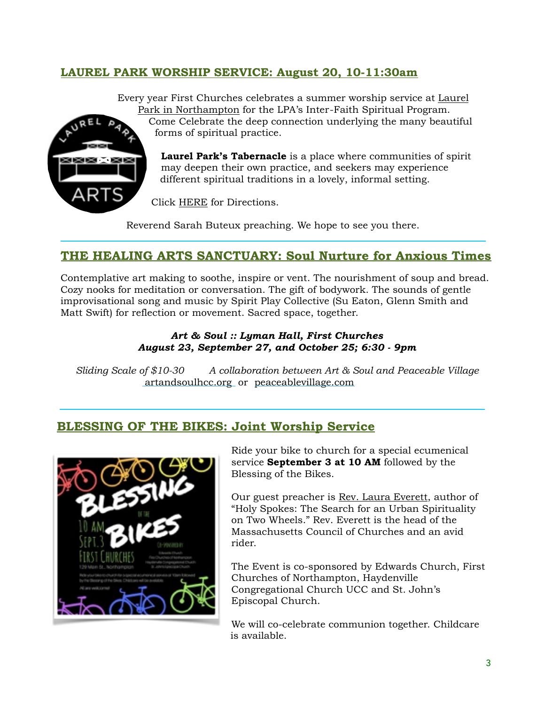#### **LAUREL PARK WORSHIP SERVICE: August 20, 10-11:30am**



Eve[ry year First Churches celebrates a summer worship service at Laurel](http://www.laurelparkarts.org/inter-faith-spiritual-program/)  Park in Northampton for the LPA's Inter-Faith Spiritual Program.

Come Celebrate the deep connection underlying the many beautiful forms of spiritual practice.

**Laurel Park's Tabernacle** is a place where communities of spirit may deepen their own practice, and seekers may experience different spiritual traditions in a lovely, informal setting.

Click [HERE](http://www.laurelparkarts.org/visit/) for Directions.

Reverend Sarah Buteux preaching. We hope to see you there.

#### **THE HEALING ARTS SANCTUARY: Soul Nurture for Anxious Times**

Contemplative art making to soothe, inspire or vent. The nourishment of soup and bread. Cozy nooks for meditation or conversation. The gift of bodywork. The sounds of gentle improvisational song and music by Spirit Play Collective (Su Eaton, Glenn Smith and Matt Swift) for reflection or movement. Sacred space, together.

#### *Art & Soul :: Lyman Hall, First Churches August 23, September 27, and October 25; 6:30 - 9pm*

*Sliding Scale of \$10-30 A collaboration between Art & Soul and Peaceable Village*   [artandsoulhcc.org](http://artandsoulhcc.us3.list-manage.com/track/click?u=6462cc51c1a022a6816a4a592&id=6a9a6f7071&e=5e7b411f24) or [peaceablevillage.com](mailto:peaceablevillage.com)

#### **BLESSING OF THE BIKES: Joint Worship Service**



Ride your bike to church for a special ecumenical service **September 3 at 10 AM** followed by the Blessing of the Bikes.

Our guest preacher is [Rev. Laura Everett](https://reveverett.com), author of "Holy Spokes: The Search for an Urban Spirituality on Two Wheels." Rev. Everett is the head of the Massachusetts Council of Churches and an avid rider.

The Event is co-sponsored by Edwards Church, First Churches of Northampton, Haydenville Congregational Church UCC and St. John's Episcopal Church.

We will co-celebrate communion together. Childcare is available.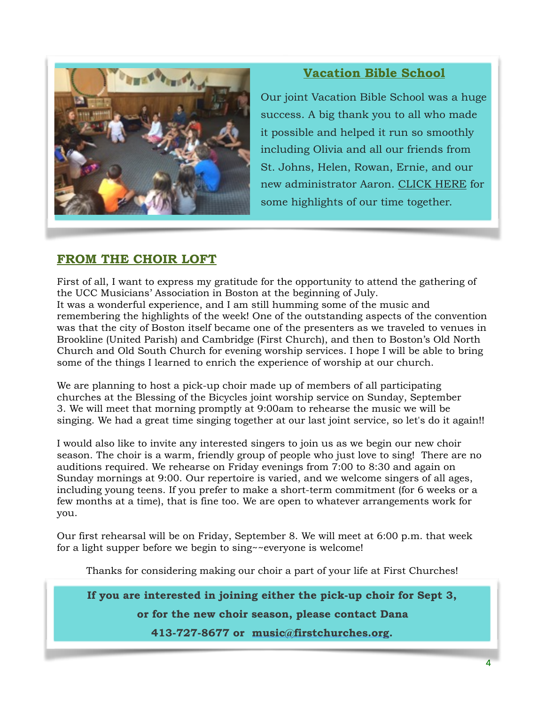

#### **Vacation Bible School**

Our joint Vacation Bible School was a huge success. A big thank you to all who made it possible and helped it run so smoothly including Olivia and all our friends from St. Johns, Helen, Rowan, Ernie, and our new administrator Aaron. [CLICK HERE](http://mailchi.mp/2a2266de9ab6/vacation-bible-school-highlights?e=a7541c78d6) for some highlights of our time together.

#### **FROM THE CHOIR LOFT**

First of all, I want to express my gratitude for the opportunity to attend the gathering of the UCC Musicians' Association in Boston at the beginning of July. It was a wonderful experience, and I am still humming some of the music and remembering the highlights of the week! One of the outstanding aspects of the convention was that the city of Boston itself became one of the presenters as we traveled to venues in Brookline (United Parish) and Cambridge (First Church), and then to Boston's Old North Church and Old South Church for evening worship services. I hope I will be able to bring some of the things I learned to enrich the experience of worship at our church.

We are planning to host a pick-up choir made up of members of all participating churches at the Blessing of the Bicycles joint worship service on Sunday, September 3. We will meet that morning promptly at 9:00am to rehearse the music we will be singing. We had a great time singing together at our last joint service, so let's do it again!!

I would also like to invite any interested singers to join us as we begin our new choir season. The choir is a warm, friendly group of people who just love to sing! There are no auditions required. We rehearse on Friday evenings from 7:00 to 8:30 and again on Sunday mornings at 9:00. Our repertoire is varied, and we welcome singers of all ages, including young teens. If you prefer to make a short-term commitment (for 6 weeks or a few months at a time), that is fine too. We are open to whatever arrangements work for you.

Our first rehearsal will be on Friday, September 8. We will meet at 6:00 p.m. that week for a light supper before we begin to sing~~everyone is welcome!

Thanks for considering making our choir a part of your life at First Churches!

If you are interested in joining either the pick-up choir for Sept 3,

**or for the new choir season, please contact Dana** 

**413-727-8677 or [music@firstchurches.org.](mailto:music@firstchurches.org)**